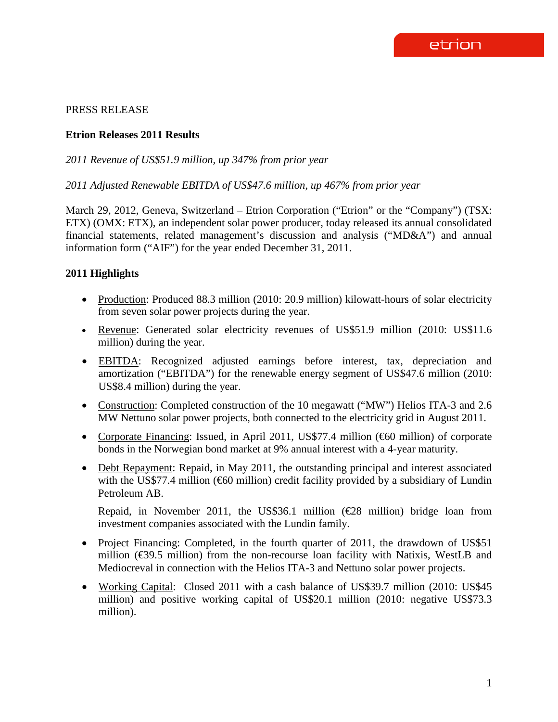# PRESS RELEASE

### **Etrion Releases 2011 Results**

*2011 Revenue of US\$51.9 million, up 347% from prior year*

*2011 Adjusted Renewable EBITDA of US\$47.6 million, up 467% from prior year*

March 29, 2012, Geneva, Switzerland – Etrion Corporation ("Etrion" or the "Company") (TSX: ETX) (OMX: ETX), an independent solar power producer, today released its annual consolidated financial statements, related management's discussion and analysis ("MD&A") and annual information form ("AIF") for the year ended December 31, 2011.

### **2011 Highlights**

- Production: Produced 88.3 million (2010: 20.9 million) kilowatt-hours of solar electricity from seven solar power projects during the year.
- Revenue: Generated solar electricity revenues of US\$51.9 million (2010: US\$11.6 million) during the year.
- EBITDA: Recognized adjusted earnings before interest, tax, depreciation and amortization ("EBITDA") for the renewable energy segment of US\$47.6 million (2010: US\$8.4 million) during the year.
- Construction: Completed construction of the 10 megawatt ("MW") Helios ITA-3 and 2.6 MW Nettuno solar power projects, both connected to the electricity grid in August 2011.
- Corporate Financing: Issued, in April 2011, US\$77.4 million ( $60$  million) of corporate bonds in the Norwegian bond market at 9% annual interest with a 4-year maturity.
- Debt Repayment: Repaid, in May 2011, the outstanding principal and interest associated with the US\$77.4 million ( $60$  million) credit facility provided by a subsidiary of Lundin Petroleum AB.

Repaid, in November 2011, the US\$36.1 million ( $E$ 8 million) bridge loan from investment companies associated with the Lundin family.

- Project Financing: Completed, in the fourth quarter of 2011, the drawdown of US\$51 million (€39.5 million) from the non-recourse loan facility with Natixis, WestLB and Mediocreval in connection with the Helios ITA-3 and Nettuno solar power projects.
- Working Capital: Closed 2011 with a cash balance of US\$39.7 million (2010: US\$45) million) and positive working capital of US\$20.1 million (2010: negative US\$73.3 million).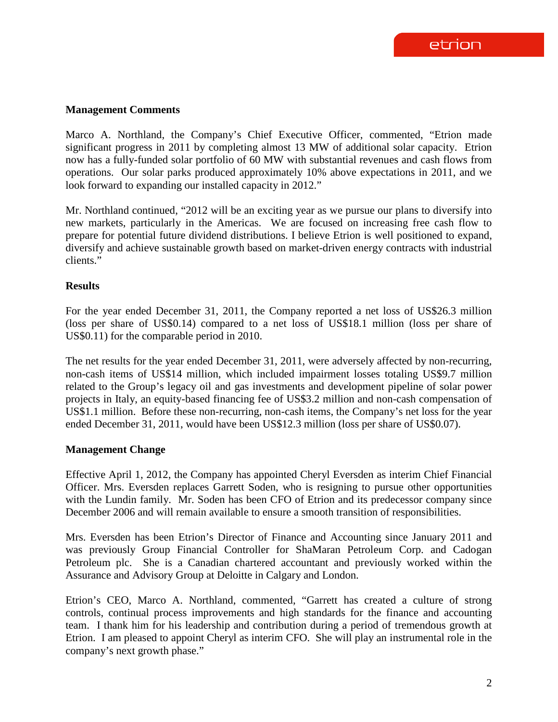### **Management Comments**

Marco A. Northland, the Company's Chief Executive Officer, commented, "Etrion made significant progress in 2011 by completing almost 13 MW of additional solar capacity. Etrion now has a fully-funded solar portfolio of 60 MW with substantial revenues and cash flows from operations. Our solar parks produced approximately 10% above expectations in 2011, and we look forward to expanding our installed capacity in 2012."

Mr. Northland continued, "2012 will be an exciting year as we pursue our plans to diversify into new markets, particularly in the Americas. We are focused on increasing free cash flow to prepare for potential future dividend distributions. I believe Etrion is well positioned to expand, diversify and achieve sustainable growth based on market-driven energy contracts with industrial clients."

### **Results**

For the year ended December 31, 2011, the Company reported a net loss of US\$26.3 million (loss per share of US\$0.14) compared to a net loss of US\$18.1 million (loss per share of US\$0.11) for the comparable period in 2010.

The net results for the year ended December 31, 2011, were adversely affected by non-recurring, non-cash items of US\$14 million, which included impairment losses totaling US\$9.7 million related to the Group's legacy oil and gas investments and development pipeline of solar power projects in Italy, an equity-based financing fee of US\$3.2 million and non-cash compensation of US\$1.1 million. Before these non-recurring, non-cash items, the Company's net loss for the year ended December 31, 2011, would have been US\$12.3 million (loss per share of US\$0.07).

# **Management Change**

Effective April 1, 2012, the Company has appointed Cheryl Eversden as interim Chief Financial Officer. Mrs. Eversden replaces Garrett Soden, who is resigning to pursue other opportunities with the Lundin family. Mr. Soden has been CFO of Etrion and its predecessor company since December 2006 and will remain available to ensure a smooth transition of responsibilities.

Mrs. Eversden has been Etrion's Director of Finance and Accounting since January 2011 and was previously Group Financial Controller for ShaMaran Petroleum Corp. and Cadogan Petroleum plc. She is a Canadian chartered accountant and previously worked within the Assurance and Advisory Group at Deloitte in Calgary and London.

Etrion's CEO, Marco A. Northland, commented, "Garrett has created a culture of strong controls, continual process improvements and high standards for the finance and accounting team. I thank him for his leadership and contribution during a period of tremendous growth at Etrion. I am pleased to appoint Cheryl as interim CFO. She will play an instrumental role in the company's next growth phase."